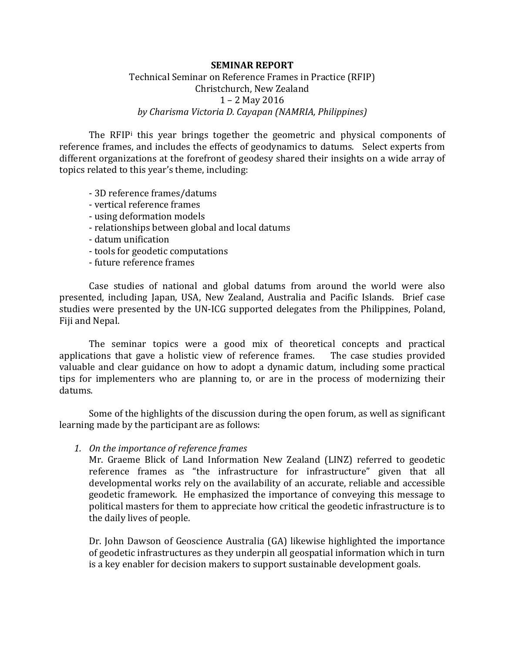## **SEMINAR REPORT**

## Technical Seminar on Reference Frames in Practice (RFIP) Christchurch, New Zealand 1 – 2 May 2016 *by Charisma Victoria D. Cayapan (NAMRIA, Philippines)*

The RFIP<sup>[i](#page-2-0)</sup> this year brings together the geometric and physical components of reference frames, and includes the effects of geodynamics to datums. Select experts from different organizations at the forefront of geodesy shared their insights on a wide array of topics related to this year's theme, including:

- 3D reference frames/datums
- vertical reference frames
- using deformation models
- relationships between global and local datums
- datum unification
- tools for geodetic computations
- future reference frames

Case studies of national and global datums from around the world were also presented, including Japan, USA, New Zealand, Australia and Pacific Islands. Brief case studies were presented by the UN-ICG supported delegates from the Philippines, Poland, Fiji and Nepal.

The seminar topics were a good mix of theoretical concepts and practical applications that gave a holistic view of reference frames. The case studies provided valuable and clear guidance on how to adopt a dynamic datum, including some practical tips for implementers who are planning to, or are in the process of modernizing their datums.

Some of the highlights of the discussion during the open forum, as well as significant learning made by the participant are as follows:

*1. On the importance of reference frames*

Mr. Graeme Blick of Land Information New Zealand (LINZ) referred to geodetic reference frames as "the infrastructure for infrastructure" given that all developmental works rely on the availability of an accurate, reliable and accessible geodetic framework. He emphasized the importance of conveying this message to political masters for them to appreciate how critical the geodetic infrastructure is to the daily lives of people.

Dr. John Dawson of Geoscience Australia (GA) likewise highlighted the importance of geodetic infrastructures as they underpin all geospatial information which in turn is a key enabler for decision makers to support sustainable development goals.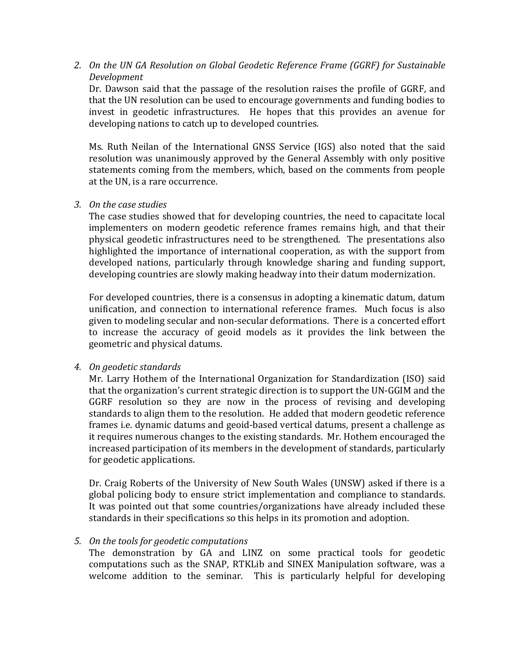*2. On the UN GA Resolution on Global Geodetic Reference Frame (GGRF) for Sustainable Development*

Dr. Dawson said that the passage of the resolution raises the profile of GGRF, and that the UN resolution can be used to encourage governments and funding bodies to invest in geodetic infrastructures. He hopes that this provides an avenue for developing nations to catch up to developed countries.

Ms. Ruth Neilan of the International GNSS Service (IGS) also noted that the said resolution was unanimously approved by the General Assembly with only positive statements coming from the members, which, based on the comments from people at the UN, is a rare occurrence.

*3. On the case studies*

The case studies showed that for developing countries, the need to capacitate local implementers on modern geodetic reference frames remains high, and that their physical geodetic infrastructures need to be strengthened. The presentations also highlighted the importance of international cooperation, as with the support from developed nations, particularly through knowledge sharing and funding support, developing countries are slowly making headway into their datum modernization.

For developed countries, there is a consensus in adopting a kinematic datum, datum unification, and connection to international reference frames. Much focus is also given to modeling secular and non-secular deformations. There is a concerted effort to increase the accuracy of geoid models as it provides the link between the geometric and physical datums.

## *4. On geodetic standards*

Mr. Larry Hothem of the International Organization for Standardization (ISO) said that the organization's current strategic direction is to support the UN-GGIM and the GGRF resolution so they are now in the process of revising and developing standards to align them to the resolution. He added that modern geodetic reference frames i.e. dynamic datums and geoid-based vertical datums, present a challenge as it requires numerous changes to the existing standards. Mr. Hothem encouraged the increased participation of its members in the development of standards, particularly for geodetic applications.

Dr. Craig Roberts of the University of New South Wales (UNSW) asked if there is a global policing body to ensure strict implementation and compliance to standards. It was pointed out that some countries/organizations have already included these standards in their specifications so this helps in its promotion and adoption.

## *5. On the tools for geodetic computations*

The demonstration by GA and LINZ on some practical tools for geodetic computations such as the SNAP, RTKLib and SINEX Manipulation software, was a welcome addition to the seminar. This is particularly helpful for developing